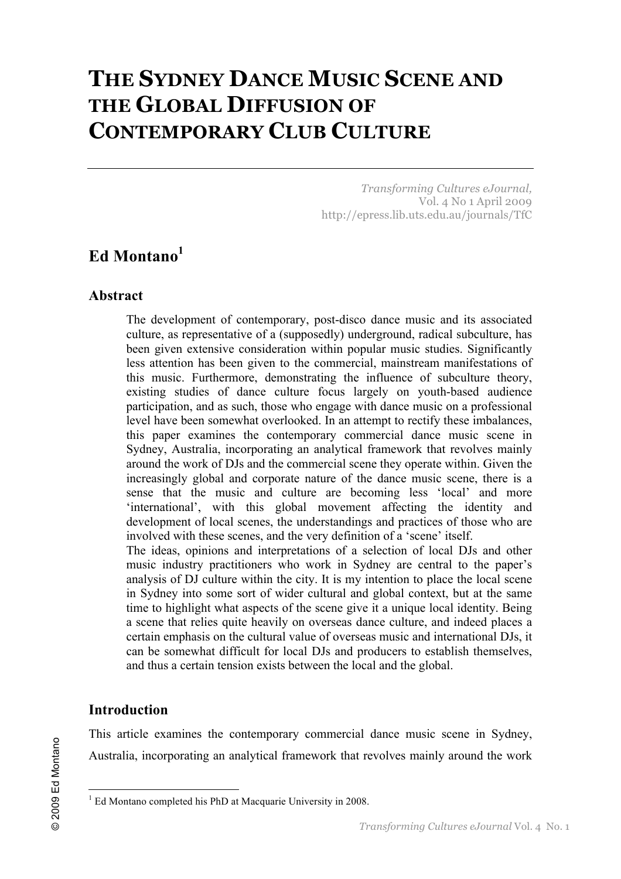# **THE SYDNEY DANCE MUSIC SCENE AND THE GLOBAL DIFFUSION OF CONTEMPORARY CLUB CULTURE**

*Transforming Cultures eJournal,*  Vol. 4 No 1 April 2009 http://epress.lib.uts.edu.au/journals/TfC

# Ed Montano<sup>1</sup>

## **Abstract**

The development of contemporary, post-disco dance music and its associated culture, as representative of a (supposedly) underground, radical subculture, has been given extensive consideration within popular music studies. Significantly less attention has been given to the commercial, mainstream manifestations of this music. Furthermore, demonstrating the influence of subculture theory, existing studies of dance culture focus largely on youth-based audience participation, and as such, those who engage with dance music on a professional level have been somewhat overlooked. In an attempt to rectify these imbalances, this paper examines the contemporary commercial dance music scene in Sydney, Australia, incorporating an analytical framework that revolves mainly around the work of DJs and the commercial scene they operate within. Given the increasingly global and corporate nature of the dance music scene, there is a sense that the music and culture are becoming less 'local' and more 'international', with this global movement affecting the identity and development of local scenes, the understandings and practices of those who are involved with these scenes, and the very definition of a 'scene' itself.

The ideas, opinions and interpretations of a selection of local DJs and other music industry practitioners who work in Sydney are central to the paper's analysis of DJ culture within the city. It is my intention to place the local scene in Sydney into some sort of wider cultural and global context, but at the same time to highlight what aspects of the scene give it a unique local identity. Being a scene that relies quite heavily on overseas dance culture, and indeed places a certain emphasis on the cultural value of overseas music and international DJs, it can be somewhat difficult for local DJs and producers to establish themselves, and thus a certain tension exists between the local and the global.

# **Introduction**

This article examines the contemporary commercial dance music scene in Sydney, Australia, incorporating an analytical framework that revolves mainly around the work

© 2009 Ed Montano

© 2009 Ed Montano

<sup>&</sup>lt;sup>1</sup> Ed Montano completed his PhD at Macquarie University in 2008.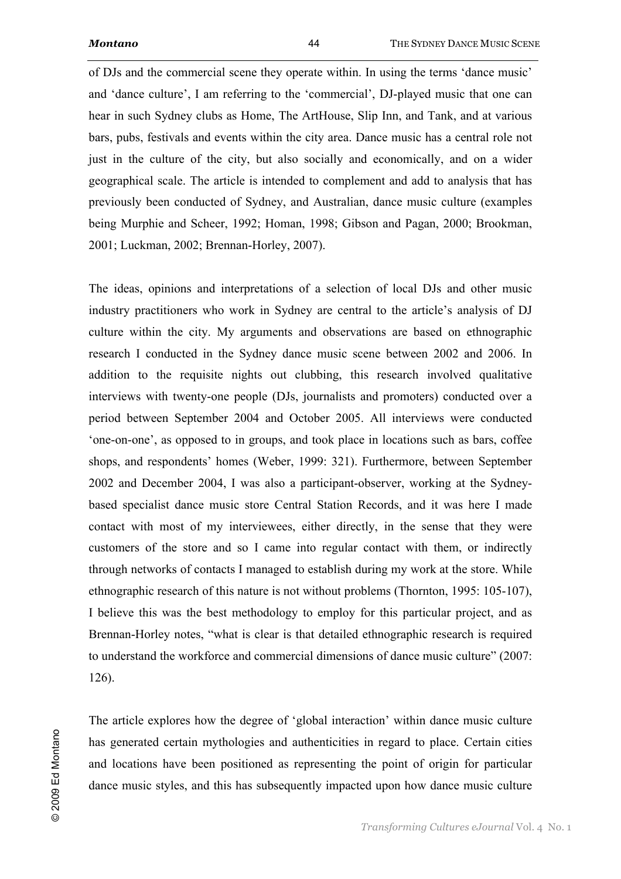of DJs and the commercial scene they operate within. In using the terms 'dance music' and 'dance culture', I am referring to the 'commercial', DJ-played music that one can hear in such Sydney clubs as Home, The ArtHouse, Slip Inn, and Tank, and at various bars, pubs, festivals and events within the city area. Dance music has a central role not just in the culture of the city, but also socially and economically, and on a wider geographical scale. The article is intended to complement and add to analysis that has previously been conducted of Sydney, and Australian, dance music culture (examples being Murphie and Scheer, 1992; Homan, 1998; Gibson and Pagan, 2000; Brookman, 2001; Luckman, 2002; Brennan-Horley, 2007).

The ideas, opinions and interpretations of a selection of local DJs and other music industry practitioners who work in Sydney are central to the article's analysis of DJ culture within the city. My arguments and observations are based on ethnographic research I conducted in the Sydney dance music scene between 2002 and 2006. In addition to the requisite nights out clubbing, this research involved qualitative interviews with twenty-one people (DJs, journalists and promoters) conducted over a period between September 2004 and October 2005. All interviews were conducted 'one-on-one', as opposed to in groups, and took place in locations such as bars, coffee shops, and respondents' homes (Weber, 1999: 321). Furthermore, between September 2002 and December 2004, I was also a participant-observer, working at the Sydneybased specialist dance music store Central Station Records, and it was here I made contact with most of my interviewees, either directly, in the sense that they were customers of the store and so I came into regular contact with them, or indirectly through networks of contacts I managed to establish during my work at the store. While ethnographic research of this nature is not without problems (Thornton, 1995: 105-107), I believe this was the best methodology to employ for this particular project, and as Brennan-Horley notes, "what is clear is that detailed ethnographic research is required to understand the workforce and commercial dimensions of dance music culture" (2007: 126).

The article explores how the degree of 'global interaction' within dance music culture has generated certain mythologies and authenticities in regard to place. Certain cities and locations have been positioned as representing the point of origin for particular dance music styles, and this has subsequently impacted upon how dance music culture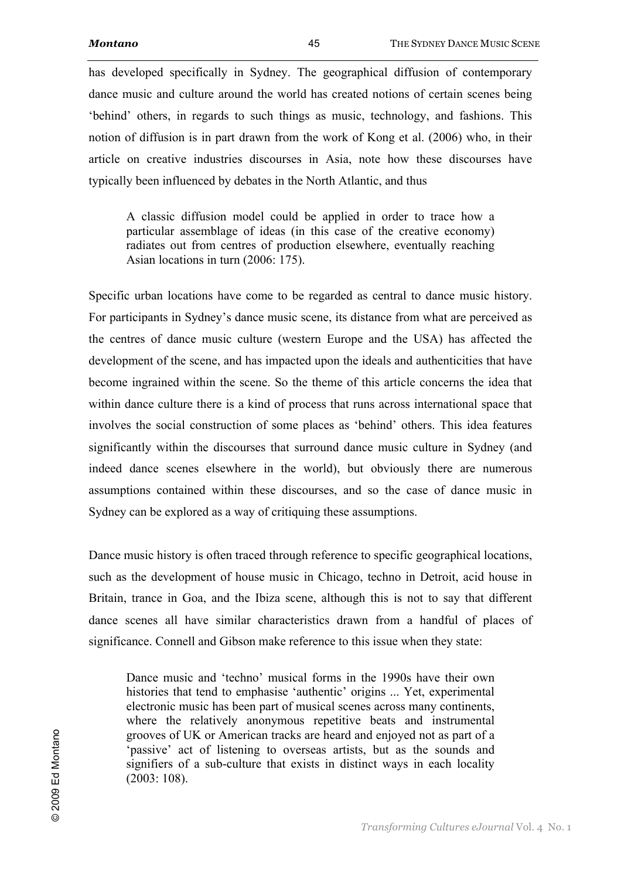has developed specifically in Sydney. The geographical diffusion of contemporary dance music and culture around the world has created notions of certain scenes being 'behind' others, in regards to such things as music, technology, and fashions. This notion of diffusion is in part drawn from the work of Kong et al. (2006) who, in their article on creative industries discourses in Asia, note how these discourses have typically been influenced by debates in the North Atlantic, and thus

A classic diffusion model could be applied in order to trace how a particular assemblage of ideas (in this case of the creative economy) radiates out from centres of production elsewhere, eventually reaching Asian locations in turn (2006: 175).

Specific urban locations have come to be regarded as central to dance music history. For participants in Sydney's dance music scene, its distance from what are perceived as the centres of dance music culture (western Europe and the USA) has affected the development of the scene, and has impacted upon the ideals and authenticities that have become ingrained within the scene. So the theme of this article concerns the idea that within dance culture there is a kind of process that runs across international space that involves the social construction of some places as 'behind' others. This idea features significantly within the discourses that surround dance music culture in Sydney (and indeed dance scenes elsewhere in the world), but obviously there are numerous assumptions contained within these discourses, and so the case of dance music in Sydney can be explored as a way of critiquing these assumptions.

Dance music history is often traced through reference to specific geographical locations, such as the development of house music in Chicago, techno in Detroit, acid house in Britain, trance in Goa, and the Ibiza scene, although this is not to say that different dance scenes all have similar characteristics drawn from a handful of places of significance. Connell and Gibson make reference to this issue when they state:

Dance music and 'techno' musical forms in the 1990s have their own histories that tend to emphasise 'authentic' origins ... Yet, experimental electronic music has been part of musical scenes across many continents, where the relatively anonymous repetitive beats and instrumental grooves of UK or American tracks are heard and enjoyed not as part of a 'passive' act of listening to overseas artists, but as the sounds and signifiers of a sub-culture that exists in distinct ways in each locality (2003: 108).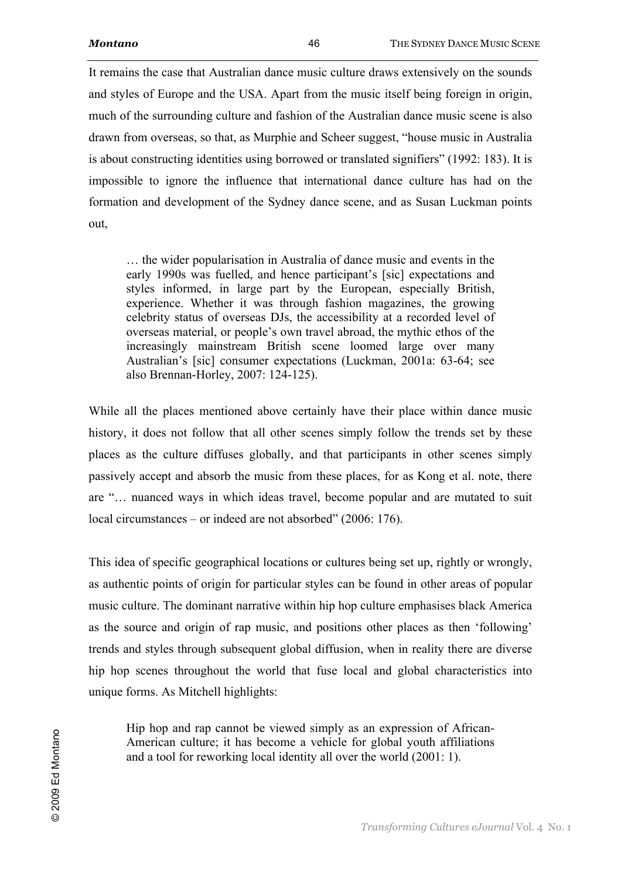It remains the case that Australian dance music culture draws extensively on the sounds and styles of Europe and the USA. Apart from the music itself being foreign in origin, much of the surrounding culture and fashion of the Australian dance music scene is also drawn from overseas, so that, as Murphie and Scheer suggest, "house music in Australia is about constructing identities using borrowed or translated signifiers" (1992: 183). It is impossible to ignore the influence that international dance culture has had on the formation and development of the Sydney dance scene, and as Susan Luckman points out,

… the wider popularisation in Australia of dance music and events in the early 1990s was fuelled, and hence participant's [sic] expectations and styles informed, in large part by the European, especially British, experience. Whether it was through fashion magazines, the growing celebrity status of overseas DJs, the accessibility at a recorded level of overseas material, or people's own travel abroad, the mythic ethos of the increasingly mainstream British scene loomed large over many Australian's [sic] consumer expectations (Luckman, 2001a: 63-64; see also Brennan-Horley, 2007: 124-125).

While all the places mentioned above certainly have their place within dance music history, it does not follow that all other scenes simply follow the trends set by these places as the culture diffuses globally, and that participants in other scenes simply passively accept and absorb the music from these places, for as Kong et al. note, there are "… nuanced ways in which ideas travel, become popular and are mutated to suit local circumstances – or indeed are not absorbed" (2006: 176).

This idea of specific geographical locations or cultures being set up, rightly or wrongly, as authentic points of origin for particular styles can be found in other areas of popular music culture. The dominant narrative within hip hop culture emphasises black America as the source and origin of rap music, and positions other places as then 'following' trends and styles through subsequent global diffusion, when in reality there are diverse hip hop scenes throughout the world that fuse local and global characteristics into unique forms. As Mitchell highlights:

Hip hop and rap cannot be viewed simply as an expression of African-American culture; it has become a vehicle for global youth affiliations and a tool for reworking local identity all over the world (2001: 1).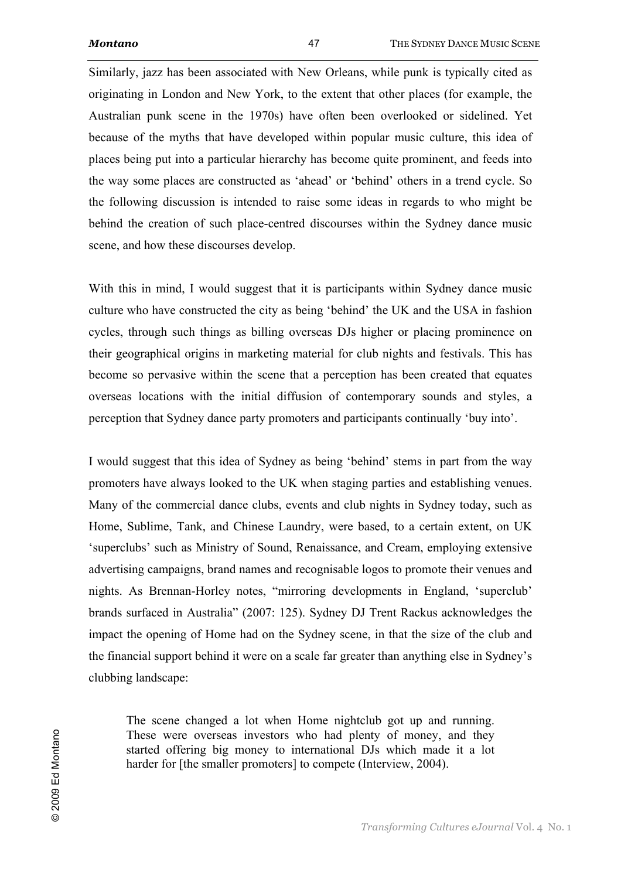Similarly, jazz has been associated with New Orleans, while punk is typically cited as originating in London and New York, to the extent that other places (for example, the Australian punk scene in the 1970s) have often been overlooked or sidelined. Yet because of the myths that have developed within popular music culture, this idea of places being put into a particular hierarchy has become quite prominent, and feeds into the way some places are constructed as 'ahead' or 'behind' others in a trend cycle. So the following discussion is intended to raise some ideas in regards to who might be behind the creation of such place-centred discourses within the Sydney dance music scene, and how these discourses develop.

With this in mind, I would suggest that it is participants within Sydney dance music culture who have constructed the city as being 'behind' the UK and the USA in fashion cycles, through such things as billing overseas DJs higher or placing prominence on their geographical origins in marketing material for club nights and festivals. This has become so pervasive within the scene that a perception has been created that equates overseas locations with the initial diffusion of contemporary sounds and styles, a perception that Sydney dance party promoters and participants continually 'buy into'.

I would suggest that this idea of Sydney as being 'behind' stems in part from the way promoters have always looked to the UK when staging parties and establishing venues. Many of the commercial dance clubs, events and club nights in Sydney today, such as Home, Sublime, Tank, and Chinese Laundry, were based, to a certain extent, on UK 'superclubs' such as Ministry of Sound, Renaissance, and Cream, employing extensive advertising campaigns, brand names and recognisable logos to promote their venues and nights. As Brennan-Horley notes, "mirroring developments in England, 'superclub' brands surfaced in Australia" (2007: 125). Sydney DJ Trent Rackus acknowledges the impact the opening of Home had on the Sydney scene, in that the size of the club and the financial support behind it were on a scale far greater than anything else in Sydney's clubbing landscape:

The scene changed a lot when Home nightclub got up and running. These were overseas investors who had plenty of money, and they started offering big money to international DJs which made it a lot harder for [the smaller promoters] to compete (Interview, 2004).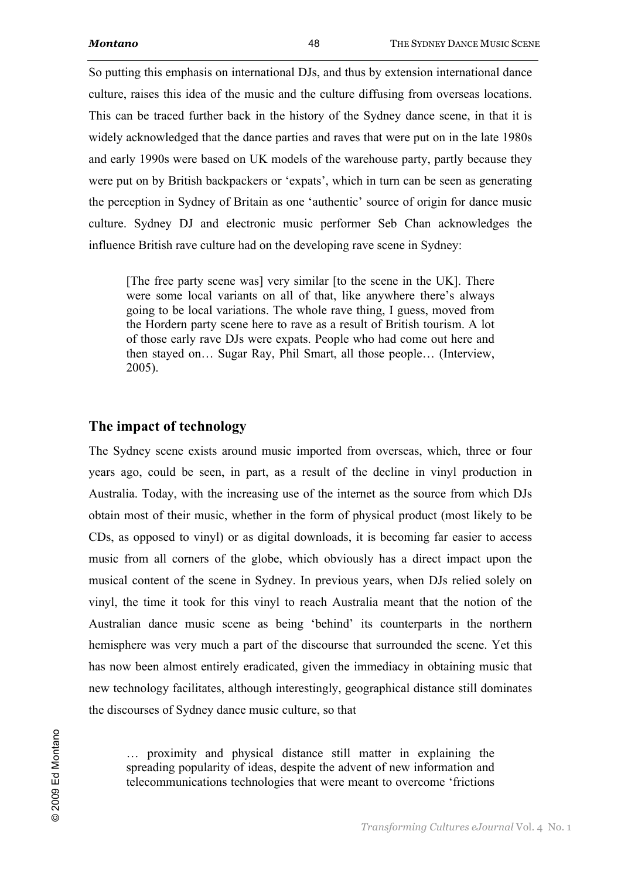So putting this emphasis on international DJs, and thus by extension international dance culture, raises this idea of the music and the culture diffusing from overseas locations. This can be traced further back in the history of the Sydney dance scene, in that it is widely acknowledged that the dance parties and raves that were put on in the late 1980s and early 1990s were based on UK models of the warehouse party, partly because they were put on by British backpackers or 'expats', which in turn can be seen as generating the perception in Sydney of Britain as one 'authentic' source of origin for dance music culture. Sydney DJ and electronic music performer Seb Chan acknowledges the influence British rave culture had on the developing rave scene in Sydney:

[The free party scene was] very similar [to the scene in the UK]. There were some local variants on all of that, like anywhere there's always going to be local variations. The whole rave thing, I guess, moved from the Hordern party scene here to rave as a result of British tourism. A lot of those early rave DJs were expats. People who had come out here and then stayed on… Sugar Ray, Phil Smart, all those people… (Interview, 2005).

# **The impact of technology**

The Sydney scene exists around music imported from overseas, which, three or four years ago, could be seen, in part, as a result of the decline in vinyl production in Australia. Today, with the increasing use of the internet as the source from which DJs obtain most of their music, whether in the form of physical product (most likely to be CDs, as opposed to vinyl) or as digital downloads, it is becoming far easier to access music from all corners of the globe, which obviously has a direct impact upon the musical content of the scene in Sydney. In previous years, when DJs relied solely on vinyl, the time it took for this vinyl to reach Australia meant that the notion of the Australian dance music scene as being 'behind' its counterparts in the northern hemisphere was very much a part of the discourse that surrounded the scene. Yet this has now been almost entirely eradicated, given the immediacy in obtaining music that new technology facilitates, although interestingly, geographical distance still dominates the discourses of Sydney dance music culture, so that

… proximity and physical distance still matter in explaining the spreading popularity of ideas, despite the advent of new information and telecommunications technologies that were meant to overcome 'frictions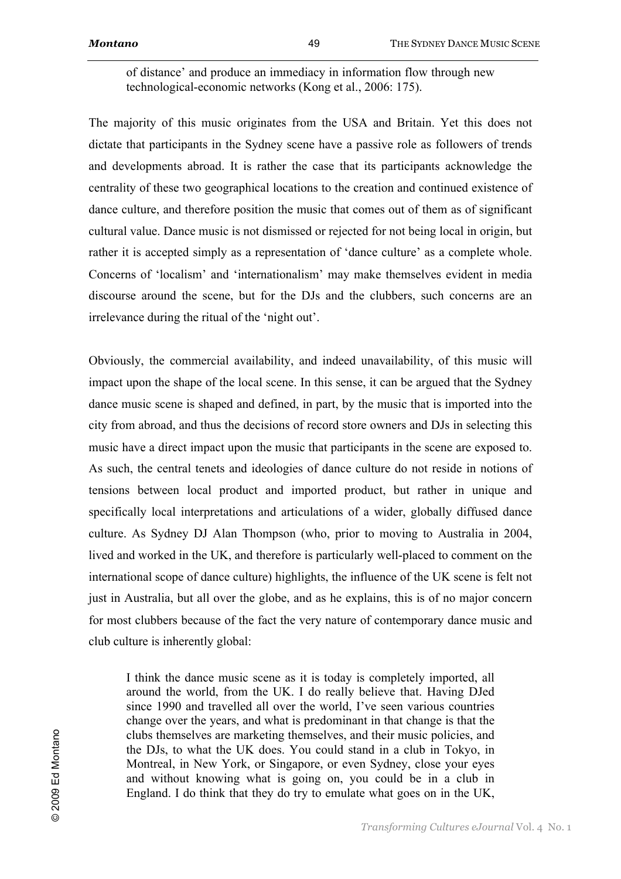of distance' and produce an immediacy in information flow through new technological-economic networks (Kong et al., 2006: 175).

The majority of this music originates from the USA and Britain. Yet this does not dictate that participants in the Sydney scene have a passive role as followers of trends and developments abroad. It is rather the case that its participants acknowledge the centrality of these two geographical locations to the creation and continued existence of dance culture, and therefore position the music that comes out of them as of significant cultural value. Dance music is not dismissed or rejected for not being local in origin, but rather it is accepted simply as a representation of 'dance culture' as a complete whole. Concerns of 'localism' and 'internationalism' may make themselves evident in media discourse around the scene, but for the DJs and the clubbers, such concerns are an irrelevance during the ritual of the 'night out'.

Obviously, the commercial availability, and indeed unavailability, of this music will impact upon the shape of the local scene. In this sense, it can be argued that the Sydney dance music scene is shaped and defined, in part, by the music that is imported into the city from abroad, and thus the decisions of record store owners and DJs in selecting this music have a direct impact upon the music that participants in the scene are exposed to. As such, the central tenets and ideologies of dance culture do not reside in notions of tensions between local product and imported product, but rather in unique and specifically local interpretations and articulations of a wider, globally diffused dance culture. As Sydney DJ Alan Thompson (who, prior to moving to Australia in 2004, lived and worked in the UK, and therefore is particularly well-placed to comment on the international scope of dance culture) highlights, the influence of the UK scene is felt not just in Australia, but all over the globe, and as he explains, this is of no major concern for most clubbers because of the fact the very nature of contemporary dance music and club culture is inherently global:

I think the dance music scene as it is today is completely imported, all around the world, from the UK. I do really believe that. Having DJed since 1990 and travelled all over the world, I've seen various countries change over the years, and what is predominant in that change is that the clubs themselves are marketing themselves, and their music policies, and the DJs, to what the UK does. You could stand in a club in Tokyo, in Montreal, in New York, or Singapore, or even Sydney, close your eyes and without knowing what is going on, you could be in a club in England. I do think that they do try to emulate what goes on in the UK,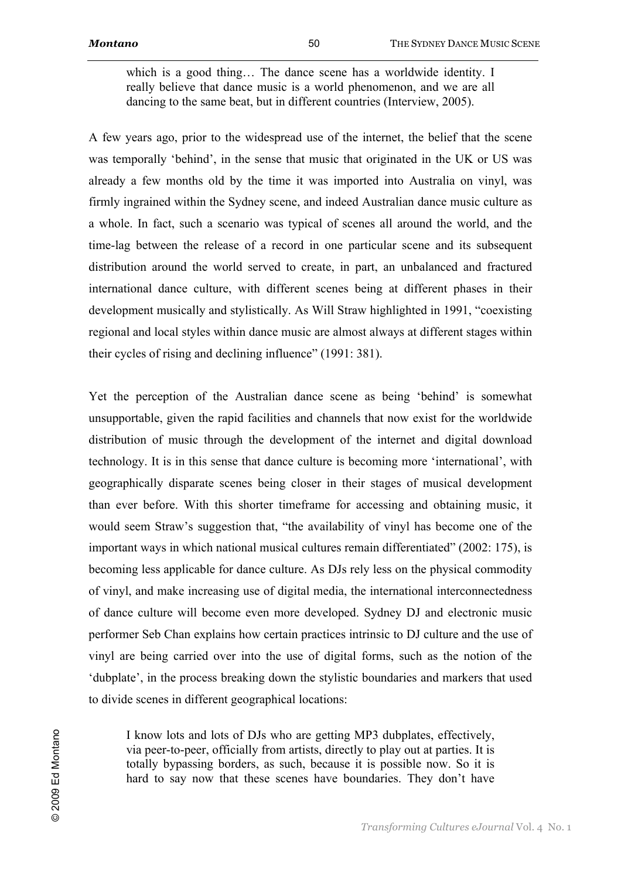which is a good thing... The dance scene has a worldwide identity. I really believe that dance music is a world phenomenon, and we are all dancing to the same beat, but in different countries (Interview, 2005).

A few years ago, prior to the widespread use of the internet, the belief that the scene was temporally 'behind', in the sense that music that originated in the UK or US was already a few months old by the time it was imported into Australia on vinyl, was firmly ingrained within the Sydney scene, and indeed Australian dance music culture as a whole. In fact, such a scenario was typical of scenes all around the world, and the time-lag between the release of a record in one particular scene and its subsequent distribution around the world served to create, in part, an unbalanced and fractured international dance culture, with different scenes being at different phases in their development musically and stylistically. As Will Straw highlighted in 1991, "coexisting regional and local styles within dance music are almost always at different stages within their cycles of rising and declining influence" (1991: 381).

Yet the perception of the Australian dance scene as being 'behind' is somewhat unsupportable, given the rapid facilities and channels that now exist for the worldwide distribution of music through the development of the internet and digital download technology. It is in this sense that dance culture is becoming more 'international', with geographically disparate scenes being closer in their stages of musical development than ever before. With this shorter timeframe for accessing and obtaining music, it would seem Straw's suggestion that, "the availability of vinyl has become one of the important ways in which national musical cultures remain differentiated" (2002: 175), is becoming less applicable for dance culture. As DJs rely less on the physical commodity of vinyl, and make increasing use of digital media, the international interconnectedness of dance culture will become even more developed. Sydney DJ and electronic music performer Seb Chan explains how certain practices intrinsic to DJ culture and the use of vinyl are being carried over into the use of digital forms, such as the notion of the 'dubplate', in the process breaking down the stylistic boundaries and markers that used to divide scenes in different geographical locations:

I know lots and lots of DJs who are getting MP3 dubplates, effectively, via peer-to-peer, officially from artists, directly to play out at parties. It is totally bypassing borders, as such, because it is possible now. So it is hard to say now that these scenes have boundaries. They don't have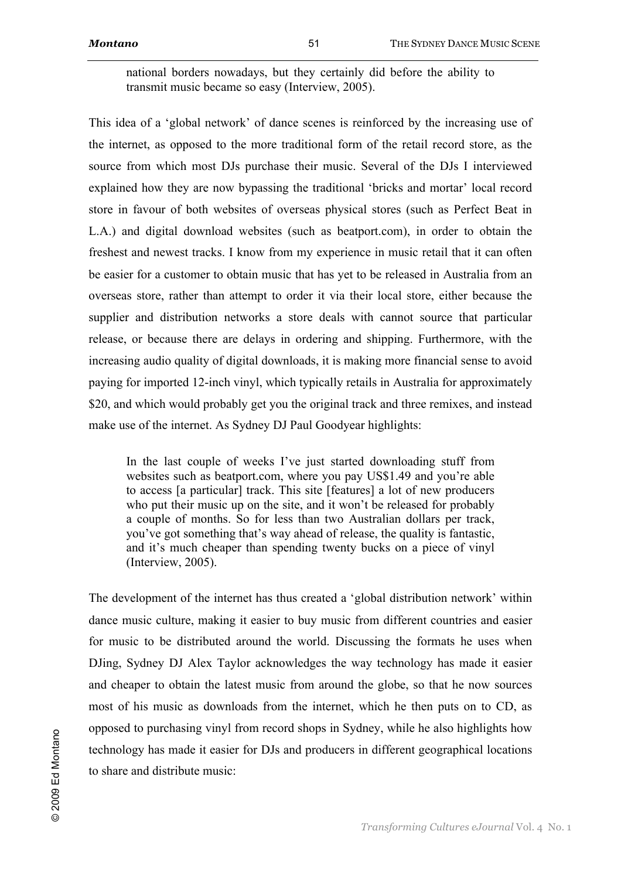national borders nowadays, but they certainly did before the ability to transmit music became so easy (Interview, 2005).

This idea of a 'global network' of dance scenes is reinforced by the increasing use of the internet, as opposed to the more traditional form of the retail record store, as the source from which most DJs purchase their music. Several of the DJs I interviewed explained how they are now bypassing the traditional 'bricks and mortar' local record store in favour of both websites of overseas physical stores (such as Perfect Beat in L.A.) and digital download websites (such as beatport.com), in order to obtain the freshest and newest tracks. I know from my experience in music retail that it can often be easier for a customer to obtain music that has yet to be released in Australia from an overseas store, rather than attempt to order it via their local store, either because the supplier and distribution networks a store deals with cannot source that particular release, or because there are delays in ordering and shipping. Furthermore, with the increasing audio quality of digital downloads, it is making more financial sense to avoid paying for imported 12-inch vinyl, which typically retails in Australia for approximately \$20, and which would probably get you the original track and three remixes, and instead make use of the internet. As Sydney DJ Paul Goodyear highlights:

In the last couple of weeks I've just started downloading stuff from websites such as beatport.com, where you pay US\$1.49 and you're able to access [a particular] track. This site [features] a lot of new producers who put their music up on the site, and it won't be released for probably a couple of months. So for less than two Australian dollars per track, you've got something that's way ahead of release, the quality is fantastic, and it's much cheaper than spending twenty bucks on a piece of vinyl (Interview, 2005).

The development of the internet has thus created a 'global distribution network' within dance music culture, making it easier to buy music from different countries and easier for music to be distributed around the world. Discussing the formats he uses when DJing, Sydney DJ Alex Taylor acknowledges the way technology has made it easier and cheaper to obtain the latest music from around the globe, so that he now sources most of his music as downloads from the internet, which he then puts on to CD, as opposed to purchasing vinyl from record shops in Sydney, while he also highlights how technology has made it easier for DJs and producers in different geographical locations to share and distribute music: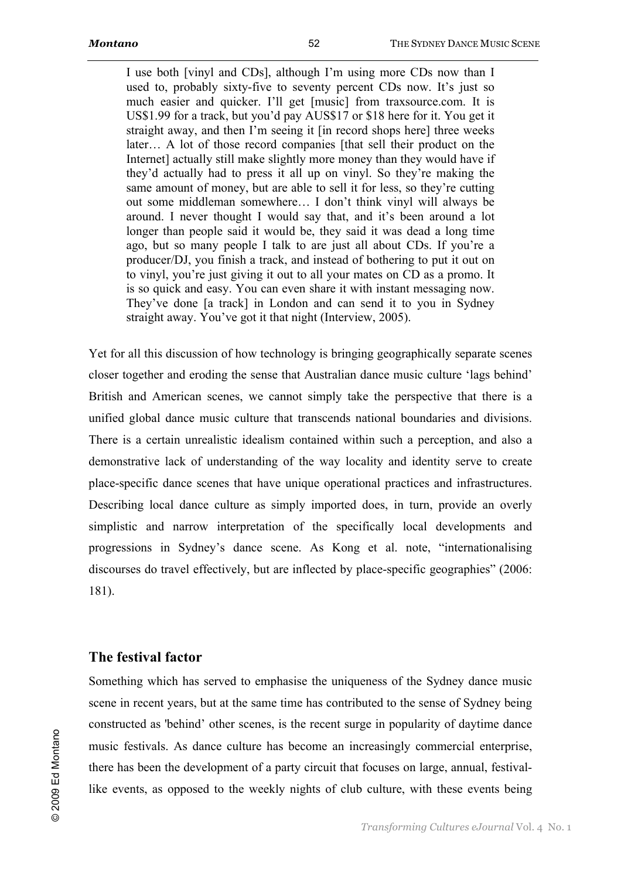I use both [vinyl and CDs], although I'm using more CDs now than I used to, probably sixty-five to seventy percent CDs now. It's just so much easier and quicker. I'll get [music] from traxsource.com. It is US\$1.99 for a track, but you'd pay AUS\$17 or \$18 here for it. You get it straight away, and then I'm seeing it [in record shops here] three weeks later… A lot of those record companies [that sell their product on the Internet] actually still make slightly more money than they would have if they'd actually had to press it all up on vinyl. So they're making the same amount of money, but are able to sell it for less, so they're cutting out some middleman somewhere… I don't think vinyl will always be around. I never thought I would say that, and it's been around a lot longer than people said it would be, they said it was dead a long time ago, but so many people I talk to are just all about CDs. If you're a producer/DJ, you finish a track, and instead of bothering to put it out on to vinyl, you're just giving it out to all your mates on CD as a promo. It is so quick and easy. You can even share it with instant messaging now. They've done [a track] in London and can send it to you in Sydney straight away. You've got it that night (Interview, 2005).

Yet for all this discussion of how technology is bringing geographically separate scenes closer together and eroding the sense that Australian dance music culture 'lags behind' British and American scenes, we cannot simply take the perspective that there is a unified global dance music culture that transcends national boundaries and divisions. There is a certain unrealistic idealism contained within such a perception, and also a demonstrative lack of understanding of the way locality and identity serve to create place-specific dance scenes that have unique operational practices and infrastructures. Describing local dance culture as simply imported does, in turn, provide an overly simplistic and narrow interpretation of the specifically local developments and progressions in Sydney's dance scene. As Kong et al. note, "internationalising discourses do travel effectively, but are inflected by place-specific geographies" (2006: 181).

# **The festival factor**

Something which has served to emphasise the uniqueness of the Sydney dance music scene in recent years, but at the same time has contributed to the sense of Sydney being constructed as 'behind' other scenes, is the recent surge in popularity of daytime dance music festivals. As dance culture has become an increasingly commercial enterprise, there has been the development of a party circuit that focuses on large, annual, festivallike events, as opposed to the weekly nights of club culture, with these events being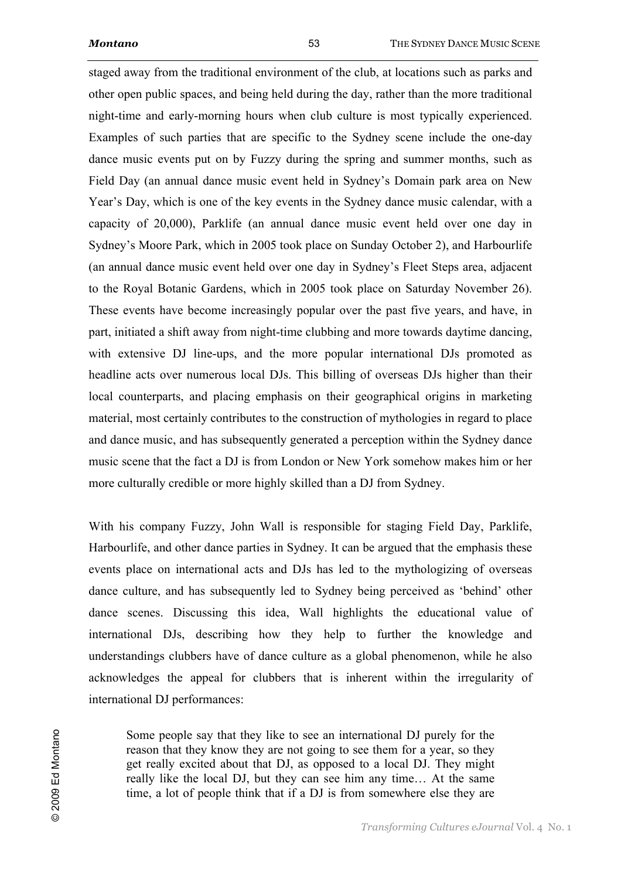staged away from the traditional environment of the club, at locations such as parks and other open public spaces, and being held during the day, rather than the more traditional night-time and early-morning hours when club culture is most typically experienced. Examples of such parties that are specific to the Sydney scene include the one-day dance music events put on by Fuzzy during the spring and summer months, such as Field Day (an annual dance music event held in Sydney's Domain park area on New Year's Day, which is one of the key events in the Sydney dance music calendar, with a capacity of 20,000), Parklife (an annual dance music event held over one day in Sydney's Moore Park, which in 2005 took place on Sunday October 2), and Harbourlife (an annual dance music event held over one day in Sydney's Fleet Steps area, adjacent to the Royal Botanic Gardens, which in 2005 took place on Saturday November 26). These events have become increasingly popular over the past five years, and have, in part, initiated a shift away from night-time clubbing and more towards daytime dancing, with extensive DJ line-ups, and the more popular international DJs promoted as headline acts over numerous local DJs. This billing of overseas DJs higher than their local counterparts, and placing emphasis on their geographical origins in marketing material, most certainly contributes to the construction of mythologies in regard to place and dance music, and has subsequently generated a perception within the Sydney dance music scene that the fact a DJ is from London or New York somehow makes him or her more culturally credible or more highly skilled than a DJ from Sydney.

With his company Fuzzy, John Wall is responsible for staging Field Day, Parklife, Harbourlife, and other dance parties in Sydney. It can be argued that the emphasis these events place on international acts and DJs has led to the mythologizing of overseas dance culture, and has subsequently led to Sydney being perceived as 'behind' other dance scenes. Discussing this idea, Wall highlights the educational value of international DJs, describing how they help to further the knowledge and understandings clubbers have of dance culture as a global phenomenon, while he also acknowledges the appeal for clubbers that is inherent within the irregularity of international DJ performances:

Some people say that they like to see an international DJ purely for the reason that they know they are not going to see them for a year, so they get really excited about that DJ, as opposed to a local DJ. They might really like the local DJ, but they can see him any time… At the same time, a lot of people think that if a DJ is from somewhere else they are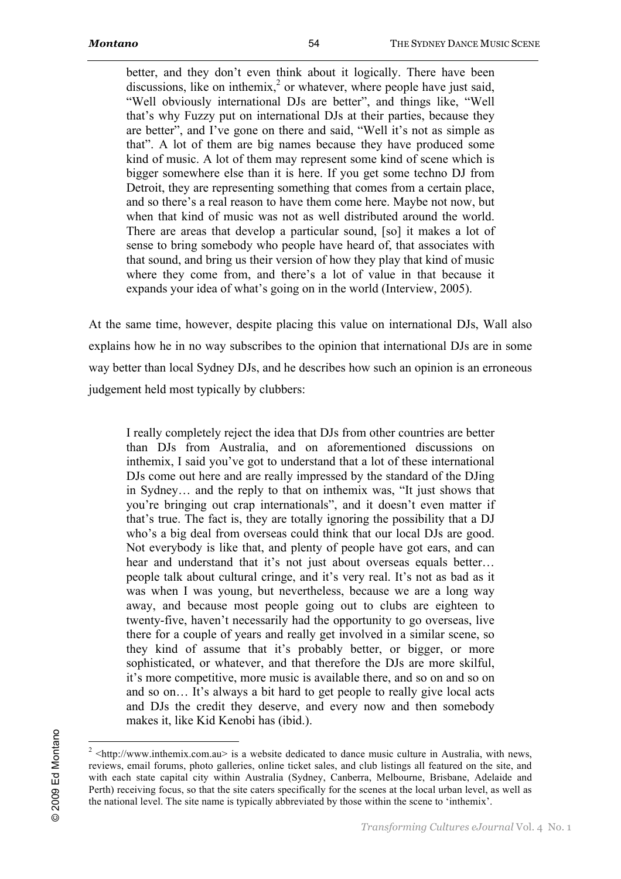better, and they don't even think about it logically. There have been discussions, like on inthemix,<sup>2</sup> or whatever, where people have just said, "Well obviously international DJs are better", and things like, "Well that's why Fuzzy put on international DJs at their parties, because they are better", and I've gone on there and said, "Well it's not as simple as that". A lot of them are big names because they have produced some kind of music. A lot of them may represent some kind of scene which is bigger somewhere else than it is here. If you get some techno DJ from Detroit, they are representing something that comes from a certain place, and so there's a real reason to have them come here. Maybe not now, but when that kind of music was not as well distributed around the world. There are areas that develop a particular sound, [so] it makes a lot of sense to bring somebody who people have heard of, that associates with that sound, and bring us their version of how they play that kind of music where they come from, and there's a lot of value in that because it expands your idea of what's going on in the world (Interview, 2005).

At the same time, however, despite placing this value on international DJs, Wall also explains how he in no way subscribes to the opinion that international DJs are in some way better than local Sydney DJs, and he describes how such an opinion is an erroneous judgement held most typically by clubbers:

I really completely reject the idea that DJs from other countries are better than DJs from Australia, and on aforementioned discussions on inthemix, I said you've got to understand that a lot of these international DJs come out here and are really impressed by the standard of the DJing in Sydney… and the reply to that on inthemix was, "It just shows that you're bringing out crap internationals", and it doesn't even matter if that's true. The fact is, they are totally ignoring the possibility that a DJ who's a big deal from overseas could think that our local DJs are good. Not everybody is like that, and plenty of people have got ears, and can hear and understand that it's not just about overseas equals better... people talk about cultural cringe, and it's very real. It's not as bad as it was when I was young, but nevertheless, because we are a long way away, and because most people going out to clubs are eighteen to twenty-five, haven't necessarily had the opportunity to go overseas, live there for a couple of years and really get involved in a similar scene, so they kind of assume that it's probably better, or bigger, or more sophisticated, or whatever, and that therefore the DJs are more skilful, it's more competitive, more music is available there, and so on and so on and so on… It's always a bit hard to get people to really give local acts and DJs the credit they deserve, and every now and then somebody makes it, like Kid Kenobi has (ibid.).

 $2$  <http://www.inthemix.com.au> is a website dedicated to dance music culture in Australia, with news, reviews, email forums, photo galleries, online ticket sales, and club listings all featured on the site, and with each state capital city within Australia (Sydney, Canberra, Melbourne, Brisbane, Adelaide and Perth) receiving focus, so that the site caters specifically for the scenes at the local urban level, as well as

the national level. The site name is typically abbreviated by those within the scene to 'inthemix'.

 $\frac{1}{2}$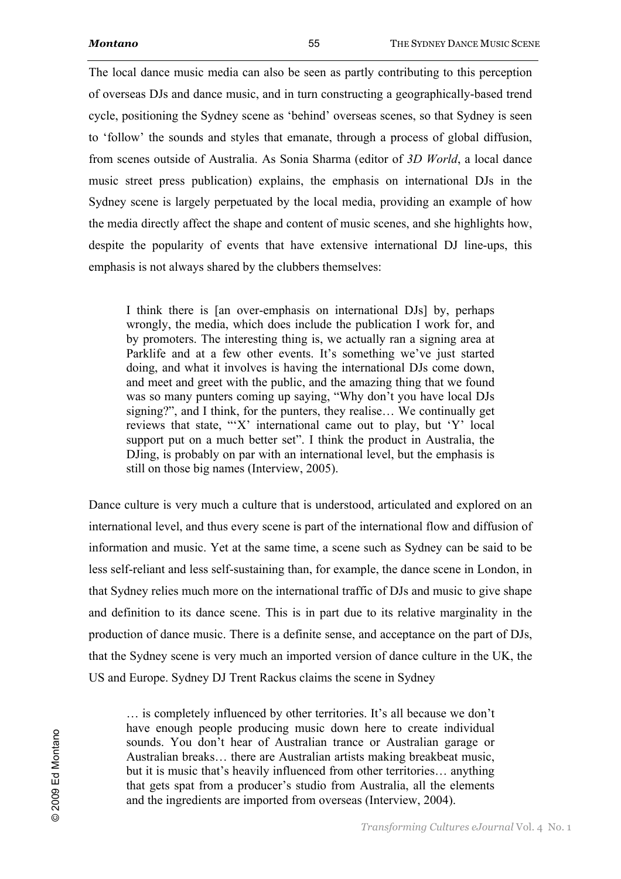The local dance music media can also be seen as partly contributing to this perception of overseas DJs and dance music, and in turn constructing a geographically-based trend cycle, positioning the Sydney scene as 'behind' overseas scenes, so that Sydney is seen to 'follow' the sounds and styles that emanate, through a process of global diffusion, from scenes outside of Australia. As Sonia Sharma (editor of *3D World*, a local dance music street press publication) explains, the emphasis on international DJs in the Sydney scene is largely perpetuated by the local media, providing an example of how the media directly affect the shape and content of music scenes, and she highlights how, despite the popularity of events that have extensive international DJ line-ups, this emphasis is not always shared by the clubbers themselves:

I think there is [an over-emphasis on international DJs] by, perhaps wrongly, the media, which does include the publication I work for, and by promoters. The interesting thing is, we actually ran a signing area at Parklife and at a few other events. It's something we've just started doing, and what it involves is having the international DJs come down, and meet and greet with the public, and the amazing thing that we found was so many punters coming up saying, "Why don't you have local DJs signing?", and I think, for the punters, they realise… We continually get reviews that state, "'X' international came out to play, but 'Y' local support put on a much better set". I think the product in Australia, the DJing, is probably on par with an international level, but the emphasis is still on those big names (Interview, 2005).

Dance culture is very much a culture that is understood, articulated and explored on an international level, and thus every scene is part of the international flow and diffusion of information and music. Yet at the same time, a scene such as Sydney can be said to be less self-reliant and less self-sustaining than, for example, the dance scene in London, in that Sydney relies much more on the international traffic of DJs and music to give shape and definition to its dance scene. This is in part due to its relative marginality in the production of dance music. There is a definite sense, and acceptance on the part of DJs, that the Sydney scene is very much an imported version of dance culture in the UK, the US and Europe. Sydney DJ Trent Rackus claims the scene in Sydney

… is completely influenced by other territories. It's all because we don't have enough people producing music down here to create individual sounds. You don't hear of Australian trance or Australian garage or Australian breaks… there are Australian artists making breakbeat music, but it is music that's heavily influenced from other territories… anything that gets spat from a producer's studio from Australia, all the elements and the ingredients are imported from overseas (Interview, 2004).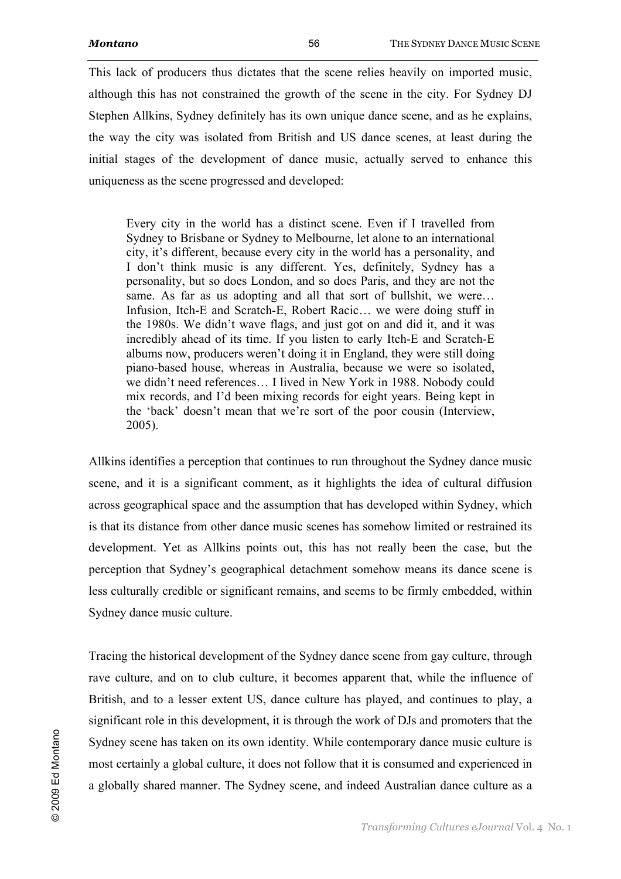This lack of producers thus dictates that the scene relies heavily on imported music, although this has not constrained the growth of the scene in the city. For Sydney DJ Stephen Allkins, Sydney definitely has its own unique dance scene, and as he explains, the way the city was isolated from British and US dance scenes, at least during the initial stages of the development of dance music, actually served to enhance this uniqueness as the scene progressed and developed:

Every city in the world has a distinct scene. Even if I travelled from Sydney to Brisbane or Sydney to Melbourne, let alone to an international city, it's different, because every city in the world has a personality, and I don't think music is any different. Yes, definitely, Sydney has a personality, but so does London, and so does Paris, and they are not the same. As far as us adopting and all that sort of bullshit, we were… Infusion, Itch-E and Scratch-E, Robert Racic… we were doing stuff in the 1980s. We didn't wave flags, and just got on and did it, and it was incredibly ahead of its time. If you listen to early Itch-E and Scratch-E albums now, producers weren't doing it in England, they were still doing piano-based house, whereas in Australia, because we were so isolated, we didn't need references… I lived in New York in 1988. Nobody could mix records, and I'd been mixing records for eight years. Being kept in the 'back' doesn't mean that we're sort of the poor cousin (Interview, 2005).

Allkins identifies a perception that continues to run throughout the Sydney dance music scene, and it is a significant comment, as it highlights the idea of cultural diffusion across geographical space and the assumption that has developed within Sydney, which is that its distance from other dance music scenes has somehow limited or restrained its development. Yet as Allkins points out, this has not really been the case, but the perception that Sydney's geographical detachment somehow means its dance scene is less culturally credible or significant remains, and seems to be firmly embedded, within Sydney dance music culture.

Tracing the historical development of the Sydney dance scene from gay culture, through rave culture, and on to club culture, it becomes apparent that, while the influence of British, and to a lesser extent US, dance culture has played, and continues to play, a significant role in this development, it is through the work of DJs and promoters that the Sydney scene has taken on its own identity. While contemporary dance music culture is most certainly a global culture, it does not follow that it is consumed and experienced in a globally shared manner. The Sydney scene, and indeed Australian dance culture as a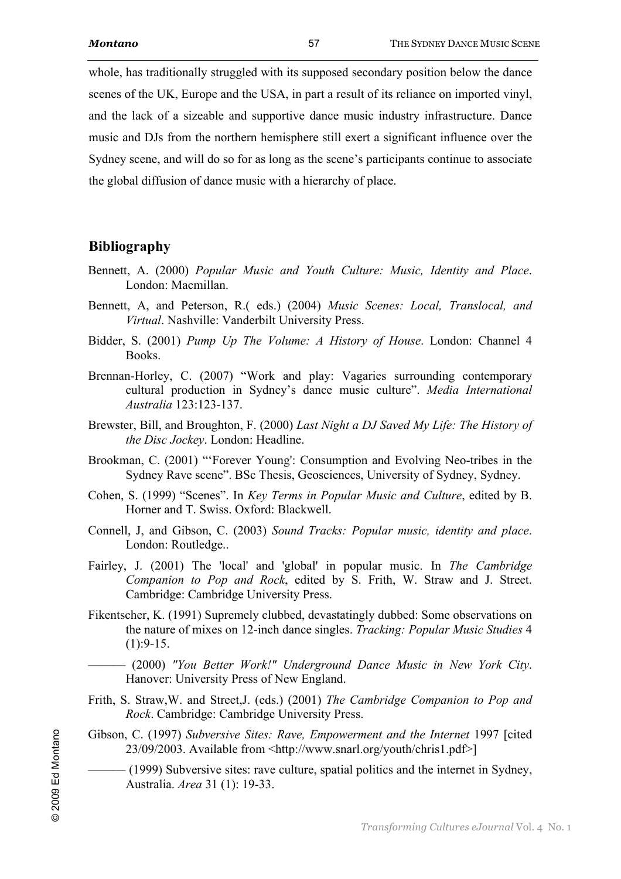whole, has traditionally struggled with its supposed secondary position below the dance scenes of the UK, Europe and the USA, in part a result of its reliance on imported vinyl, and the lack of a sizeable and supportive dance music industry infrastructure. Dance music and DJs from the northern hemisphere still exert a significant influence over the Sydney scene, and will do so for as long as the scene's participants continue to associate the global diffusion of dance music with a hierarchy of place.

#### **Bibliography**

- Bennett, A. (2000) *Popular Music and Youth Culture: Music, Identity and Place*. London: Macmillan.
- Bennett, A, and Peterson, R.( eds.) (2004) *Music Scenes: Local, Translocal, and Virtual*. Nashville: Vanderbilt University Press.
- Bidder, S. (2001) *Pump Up The Volume: A History of House*. London: Channel 4 Books.
- Brennan-Horley, C. (2007) "Work and play: Vagaries surrounding contemporary cultural production in Sydney's dance music culture". *Media International Australia* 123:123-137.
- Brewster, Bill, and Broughton, F. (2000) *Last Night a DJ Saved My Life: The History of the Disc Jockey*. London: Headline.
- Brookman, C. (2001) "'Forever Young': Consumption and Evolving Neo-tribes in the Sydney Rave scene". BSc Thesis, Geosciences, University of Sydney, Sydney.
- Cohen, S. (1999) "Scenes". In *Key Terms in Popular Music and Culture*, edited by B. Horner and T. Swiss. Oxford: Blackwell.
- Connell, J, and Gibson, C. (2003) *Sound Tracks: Popular music, identity and place*. London: Routledge..
- Fairley, J. (2001) The 'local' and 'global' in popular music. In *The Cambridge Companion to Pop and Rock*, edited by S. Frith, W. Straw and J. Street. Cambridge: Cambridge University Press.
- Fikentscher, K. (1991) Supremely clubbed, devastatingly dubbed: Some observations on the nature of mixes on 12-inch dance singles. *Tracking: Popular Music Studies* 4 (1):9-15.

——— (2000) *"You Better Work!" Underground Dance Music in New York City*. Hanover: University Press of New England.

- Frith, S. Straw,W. and Street,J. (eds.) (2001) *The Cambridge Companion to Pop and Rock*. Cambridge: Cambridge University Press.
- Gibson, C. (1997) *Subversive Sites: Rave, Empowerment and the Internet* 1997 [cited 23/09/2003. Available from <http://www.snarl.org/youth/chris1.pdf>]
	- (1999) Subversive sites: rave culture, spatial politics and the internet in Sydney, Australia. *Area* 31 (1): 19-33.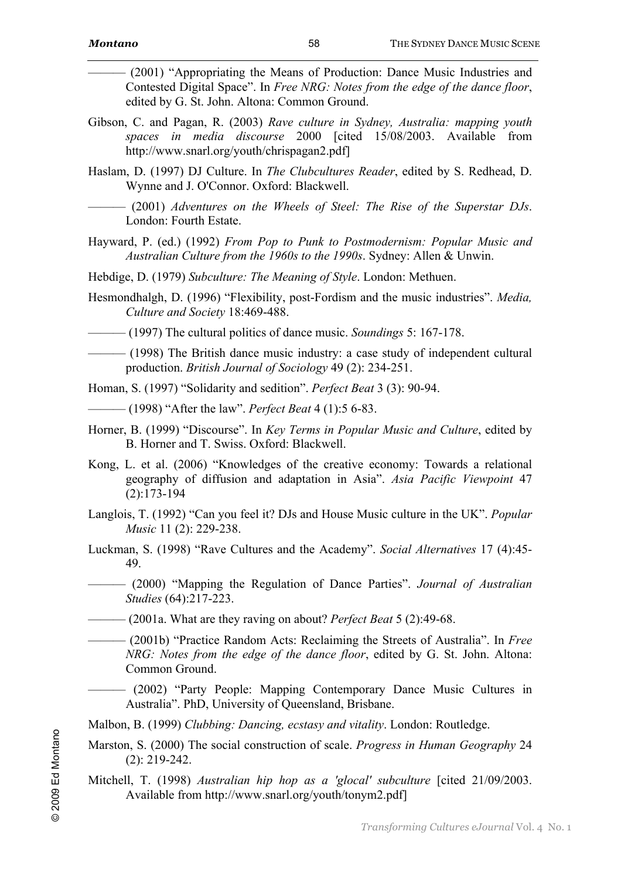- (2001) "Appropriating the Means of Production: Dance Music Industries and Contested Digital Space". In *Free NRG: Notes from the edge of the dance floor*, edited by G. St. John. Altona: Common Ground.
- Gibson, C. and Pagan, R. (2003) *Rave culture in Sydney, Australia: mapping youth spaces in media discourse* 2000 [cited 15/08/2003. Available from http://www.snarl.org/youth/chrispagan2.pdf]
- Haslam, D. (1997) DJ Culture. In *The Clubcultures Reader*, edited by S. Redhead, D. Wynne and J. O'Connor. Oxford: Blackwell.
	- ——— (2001) *Adventures on the Wheels of Steel: The Rise of the Superstar DJs*. London: Fourth Estate.
- Hayward, P. (ed.) (1992) *From Pop to Punk to Postmodernism: Popular Music and Australian Culture from the 1960s to the 1990s*. Sydney: Allen & Unwin.
- Hebdige, D. (1979) *Subculture: The Meaning of Style*. London: Methuen.
- Hesmondhalgh, D. (1996) "Flexibility, post-Fordism and the music industries". *Media, Culture and Society* 18:469-488.
- ——— (1997) The cultural politics of dance music. *Soundings* 5: 167-178.
- ——— (1998) The British dance music industry: a case study of independent cultural production. *British Journal of Sociology* 49 (2): 234-251.
- Homan, S. (1997) "Solidarity and sedition". *Perfect Beat* 3 (3): 90-94.
- ——— (1998) "After the law". *Perfect Beat* 4 (1):5 6-83.
- Horner, B. (1999) "Discourse". In *Key Terms in Popular Music and Culture*, edited by B. Horner and T. Swiss. Oxford: Blackwell.
- Kong, L. et al. (2006) "Knowledges of the creative economy: Towards a relational geography of diffusion and adaptation in Asia". *Asia Pacific Viewpoint* 47 (2):173-194
- Langlois, T. (1992) "Can you feel it? DJs and House Music culture in the UK". *Popular Music* 11 (2): 229-238.
- Luckman, S. (1998) "Rave Cultures and the Academy". *Social Alternatives* 17 (4):45- 49.
- ——— (2000) "Mapping the Regulation of Dance Parties". *Journal of Australian Studies* (64):217-223.
- ——— (2001a. What are they raving on about? *Perfect Beat* 5 (2):49-68.
- ——— (2001b) "Practice Random Acts: Reclaiming the Streets of Australia". In *Free NRG: Notes from the edge of the dance floor*, edited by G. St. John. Altona: Common Ground.
	- ——— (2002) "Party People: Mapping Contemporary Dance Music Cultures in Australia". PhD, University of Queensland, Brisbane.

Malbon, B. (1999) *Clubbing: Dancing, ecstasy and vitality*. London: Routledge.

- Marston, S. (2000) The social construction of scale. *Progress in Human Geography* 24 (2): 219-242.
- Mitchell, T. (1998) *Australian hip hop as a 'glocal' subculture* [cited 21/09/2003. Available from http://www.snarl.org/youth/tonym2.pdf]